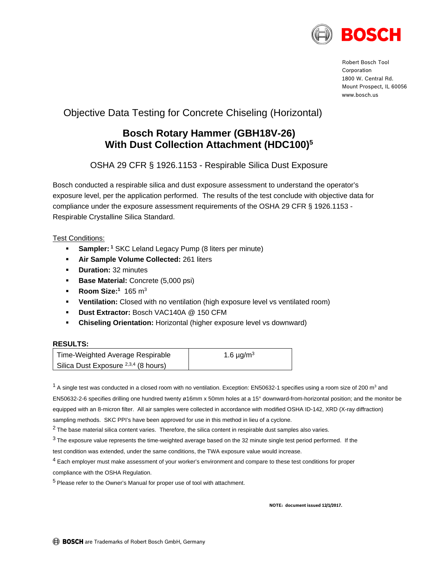

Robert Bosch Tool Corporation 1800 W. Central Rd. Mount Prospect, IL 60056 www.bosch.us

# Objective Data Testing for Concrete Chiseling (Horizontal)

## **Bosch Rotary Hammer (GBH18V-26) With Dust Collection Attachment (HDC100)5**

OSHA 29 CFR § 1926.1153 - Respirable Silica Dust Exposure

Bosch conducted a respirable silica and dust exposure assessment to understand the operator's exposure level, per the application performed. The results of the test conclude with objective data for compliance under the exposure assessment requirements of the OSHA 29 CFR § 1926.1153 - Respirable Crystalline Silica Standard.

#### Test Conditions:

- **Sampler: <sup>1</sup> SKC Leland Legacy Pump (8 liters per minute)**
- **Air Sample Volume Collected:** 261 liters
- **•** Duration: 32 minutes
- **Base Material:** Concrete (5,000 psi)
- **Room Size:**<sup>1</sup> 165 m<sup>3</sup>
- **Ventilation:** Closed with no ventilation (high exposure level vs ventilated room)
- **Dust Extractor:** Bosch VAC140A @ 150 CFM
- **Chiseling Orientation:** Horizontal (higher exposure level vs downward)

#### **RESULTS:**

| Time-Weighted Average Respirable                | 1.6 $\mu$ g/m <sup>3</sup> |
|-------------------------------------------------|----------------------------|
| Silica Dust Exposure <sup>2,3,4</sup> (8 hours) |                            |

 $1$  A single test was conducted in a closed room with no ventilation. Exception: EN50632-1 specifies using a room size of 200 m<sup>3</sup> and EN50632-2-6 specifies drilling one hundred twenty ø16mm x 50mm holes at a 15° downward-from-horizontal position; and the monitor be equipped with an 8-micron filter. All air samples were collected in accordance with modified OSHA ID-142, XRD (X-ray diffraction) sampling methods. SKC PPI's have been approved for use in this method in lieu of a cyclone.

 $2$  The base material silica content varies. Therefore, the silica content in respirable dust samples also varies.

 $3$  The exposure value represents the time-weighted average based on the 32 minute single test period performed. If the

test condition was extended, under the same conditions, the TWA exposure value would increase.

 $<sup>4</sup>$  Each employer must make assessment of your worker's environment and compare to these test conditions for proper</sup>

compliance with the OSHA Regulation.

<sup>5</sup> Please refer to the Owner's Manual for proper use of tool with attachment.

**NOTE: document issued 12/1/2017.**